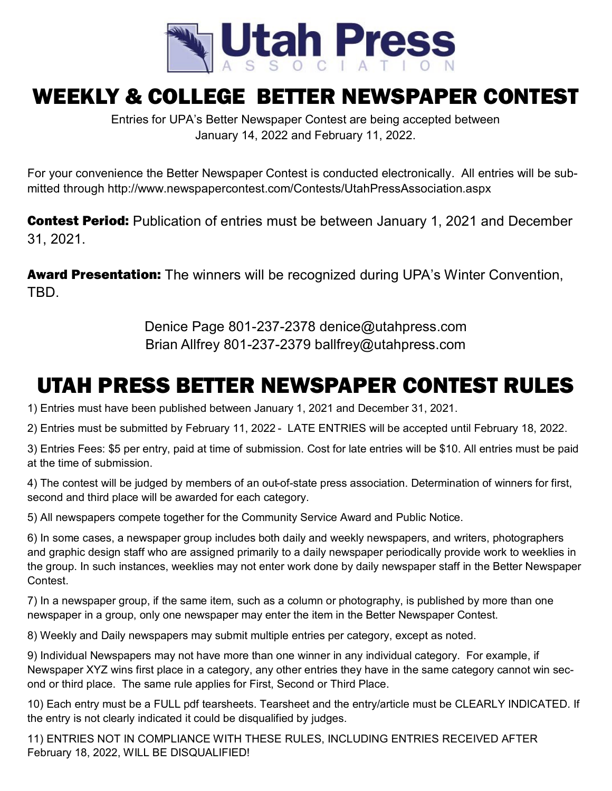

## WEEKLY & COLLEGE BETTER NEWSPAPER CONTEST

Entries for UPA's Better Newspaper Contest are being accepted between January 14, 2022 and February 11, 2022.

For your convenience the Better Newspaper Contest is conducted electronically. All entries will be submitted through http://www.newspapercontest.com/Contests/UtahPressAssociation.aspx

**Contest Period:** Publication of entries must be between January 1, 2021 and December 31, 2021.

**Award Presentation:** The winners will be recognized during UPA's Winter Convention, TBD.

> Denice Page 801-237-2378 denice@utahpress.com Brian Allfrey 801-237-2379 ballfrey@utahpress.com

## UTAH PRESS BETTER NEWSPAPER CONTEST RULES

1) Entries must have been published between January 1, 2021 and December 31, 2021.

2) Entries must be submitted by February 11, 2022 - LATE ENTRIES will be accepted until February 18, 2022.

3) Entries Fees: \$5 per entry, paid at time of submission. Cost for late entries will be \$10. All entries must be paid at the time of submission.

4) The contest will be judged by members of an out-of-state press association. Determination of winners for first, second and third place will be awarded for each category.

5) All newspapers compete together for the Community Service Award and Public Notice.

6) In some cases, a newspaper group includes both daily and weekly newspapers, and writers, photographers and graphic design staff who are assigned primarily to a daily newspaper periodically provide work to weeklies in the group. In such instances, weeklies may not enter work done by daily newspaper staff in the Better Newspaper Contest.

7) In a newspaper group, if the same item, such as a column or photography, is published by more than one newspaper in a group, only one newspaper may enter the item in the Better Newspaper Contest.

8) Weekly and Daily newspapers may submit multiple entries per category, except as noted.

9) Individual Newspapers may not have more than one winner in any individual category. For example, if Newspaper XYZ wins first place in a category, any other entries they have in the same category cannot win second or third place. The same rule applies for First, Second or Third Place.

10) Each entry must be a FULL pdf tearsheets. Tearsheet and the entry/article must be CLEARLY INDICATED. If the entry is not clearly indicated it could be disqualified by judges.

11) ENTRIES NOT IN COMPLIANCE WITH THESE RULES, INCLUDING ENTRIES RECEIVED AFTER February 18, 2022, WILL BE DISQUALIFIED!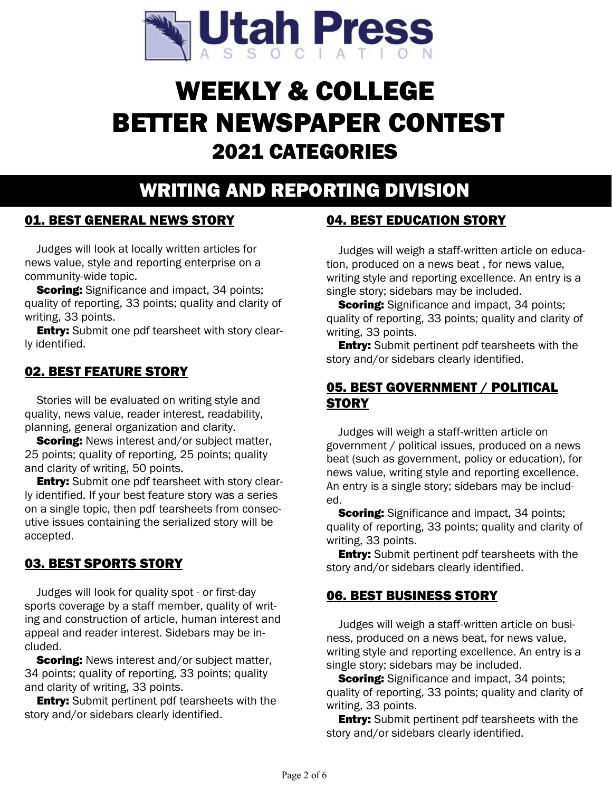

# WEEKLY & COLLEGE BETTER NEWSPAPER CONTEST 2021 CATEGORIES

## WRITING AND REPORTING DIVISION

#### 01. BEST GENERAL NEWS STORY

Judges will look at locally written articles for news value, style and reporting enterprise on a community-wide topic.

**Scoring:** Significance and impact, 34 points; quality of reporting, 33 points; quality and clarity of writing, 33 points.

**Entry:** Submit one pdf tearsheet with story clearly identified.

#### 02. BEST FEATURE STORY

Stories will be evaluated on writing style and quality, news value, reader interest, readability, planning, general organization and clarity.

**Scoring:** News interest and/or subject matter, 25 points; quality of reporting, 25 points; quality and clarity of writing, 50 points.

**Entry:** Submit one pdf tearsheet with story clearly identified. If your best feature story was a series on a single topic, then pdf tearsheets from consecutive issues containing the serialized story will be accepted.

#### 03. BEST SPORTS STORY

Judges will look for quality spot - or first-day sports coverage by a staff member, quality of writing and construction of article, human interest and appeal and reader interest. Sidebars may be included.

**Scoring:** News interest and/or subject matter, 34 points; quality of reporting, 33 points; quality and clarity of writing, 33 points.

**Entry:** Submit pertinent pdf tearsheets with the story and/or sidebars clearly identified.

#### 04. BEST EDUCATION STORY

Judges will weigh a staff-written article on education, produced on a news beat , for news value, writing style and reporting excellence. An entry is a single story; sidebars may be included.

**Scoring:** Significance and impact, 34 points; quality of reporting, 33 points; quality and clarity of writing, 33 points.

**Entry:** Submit pertinent pdf tearsheets with the story and/or sidebars clearly identified.

#### 05. BEST GOVERNMENT / POLITICAL **STORY**

Judges will weigh a staff-written article on government / political issues, produced on a news beat (such as government, policy or education), for news value, writing style and reporting excellence. An entry is a single story; sidebars may be included.

**Scoring:** Significance and impact, 34 points; quality of reporting, 33 points; quality and clarity of writing, 33 points.

**Entry:** Submit pertinent pdf tearsheets with the story and/or sidebars clearly identified.

#### 06. BEST BUSINESS STORY

Judges will weigh a staff-written article on business, produced on a news beat, for news value, writing style and reporting excellence. An entry is a single story; sidebars may be included.

**Scoring:** Significance and impact, 34 points; quality of reporting, 33 points; quality and clarity of writing, 33 points.

**Entry:** Submit pertinent pdf tearsheets with the story and/or sidebars clearly identified.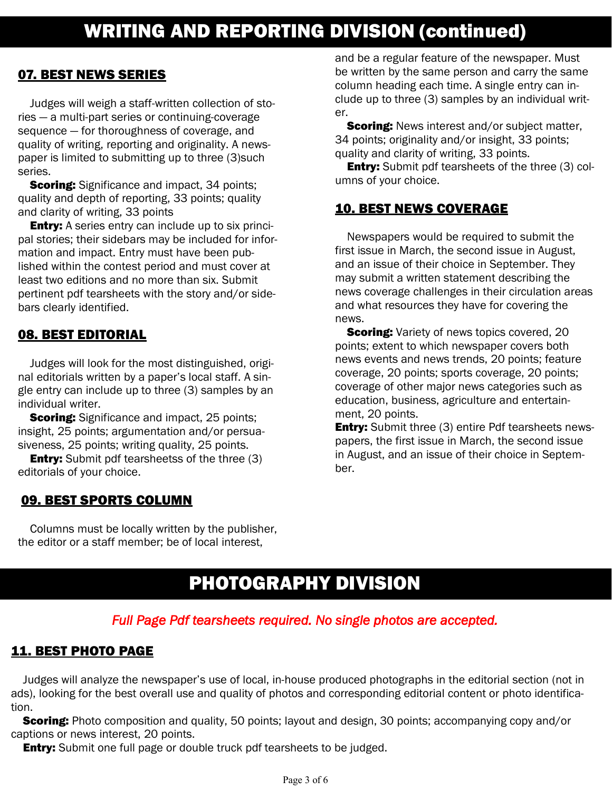### 07. BEST NEWS SERIES

Judges will weigh a staff-written collection of stories — a multi-part series or continuing-coverage sequence — for thoroughness of coverage, and quality of writing, reporting and originality. A newspaper is limited to submitting up to three (3)such series.

**Scoring:** Significance and impact, 34 points; quality and depth of reporting, 33 points; quality and clarity of writing, 33 points

**Entry:** A series entry can include up to six principal stories; their sidebars may be included for information and impact. Entry must have been published within the contest period and must cover at least two editions and no more than six. Submit pertinent pdf tearsheets with the story and/or sidebars clearly identified.

## 08. BEST EDITORIAL

Judges will look for the most distinguished, original editorials written by a paper's local staff. A single entry can include up to three (3) samples by an individual writer.

**Scoring:** Significance and impact, 25 points; insight, 25 points; argumentation and/or persuasiveness, 25 points; writing quality, 25 points.

**Entry:** Submit pdf tearsheetss of the three (3) editorials of your choice.

### 09. BEST SPORTS COLUMN

Columns must be locally written by the publisher, the editor or a staff member; be of local interest,

and be a regular feature of the newspaper. Must be written by the same person and carry the same column heading each time. A single entry can include up to three (3) samples by an individual writer.

**Scoring:** News interest and/or subject matter, 34 points; originality and/or insight, 33 points; quality and clarity of writing, 33 points.

**Entry:** Submit pdf tearsheets of the three (3) columns of your choice.

### 10. BEST NEWS COVERAGE

Newspapers would be required to submit the first issue in March, the second issue in August, and an issue of their choice in September. They may submit a written statement describing the news coverage challenges in their circulation areas and what resources they have for covering the news.

**Scoring:** Variety of news topics covered, 20 points; extent to which newspaper covers both news events and news trends, 20 points; feature coverage, 20 points; sports coverage, 20 points; coverage of other major news categories such as education, business, agriculture and entertainment, 20 points.

**Entry:** Submit three (3) entire Pdf tearsheets newspapers, the first issue in March, the second issue in August, and an issue of their choice in September.

## PHOTOGRAPHY DIVISION

### *Full Page Pdf tearsheets required. No single photos are accepted.*

#### 11. BEST PHOTO PAGE

Judges will analyze the newspaper's use of local, in-house produced photographs in the editorial section (not in ads), looking for the best overall use and quality of photos and corresponding editorial content or photo identification.

**Scoring:** Photo composition and quality, 50 points; layout and design, 30 points; accompanying copy and/or captions or news interest, 20 points.

**Entry:** Submit one full page or double truck pdf tearsheets to be judged.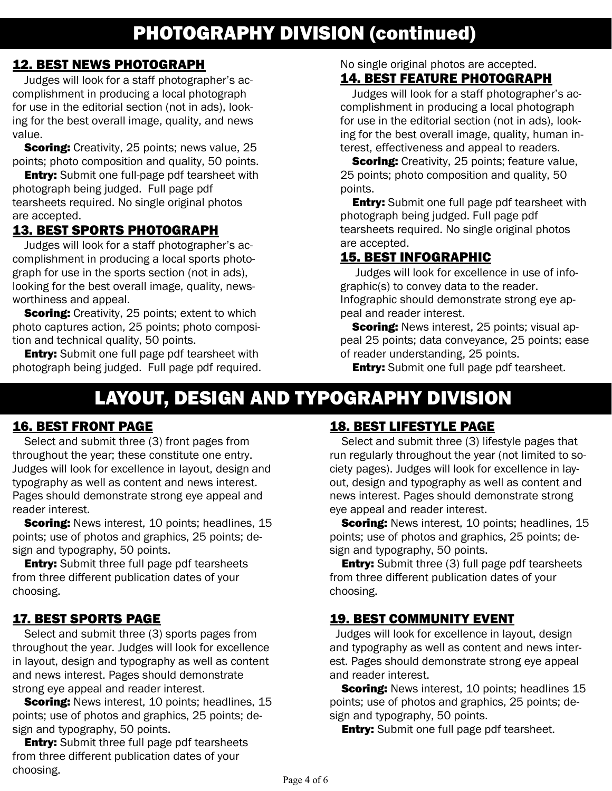## PHOTOGRAPHY DIVISION (continued)

## 12. BEST NEWS PHOTOGRAPH

Judges will look for a staff photographer's accomplishment in producing a local photograph for use in the editorial section (not in ads), looking for the best overall image, quality, and news value.

**Scoring:** Creativity, 25 points; news value, 25 points; photo composition and quality, 50 points.

**Entry:** Submit one full-page pdf tearsheet with photograph being judged. Full page pdf tearsheets required. No single original photos are accepted.

### 13. BEST SPORTS PHOTOGRAPH

Judges will look for a staff photographer's accomplishment in producing a local sports photograph for use in the sports section (not in ads), looking for the best overall image, quality, newsworthiness and appeal.

**Scoring:** Creativity, 25 points; extent to which photo captures action, 25 points; photo composition and technical quality, 50 points.

**Entry:** Submit one full page pdf tearsheet with photograph being judged. Full page pdf required. No single original photos are accepted.

#### 14. BEST FEATURE PHOTOGRAPH

Judges will look for a staff photographer's accomplishment in producing a local photograph for use in the editorial section (not in ads), looking for the best overall image, quality, human interest, effectiveness and appeal to readers.

**Scoring:** Creativity, 25 points; feature value, 25 points; photo composition and quality, 50 points.

**Entry:** Submit one full page pdf tearsheet with photograph being judged. Full page pdf tearsheets required. No single original photos are accepted.

## 15. BEST INFOGRAPHIC

 Judges will look for excellence in use of infographic(s) to convey data to the reader. Infographic should demonstrate strong eye appeal and reader interest.

**Scoring:** News interest, 25 points; visual appeal 25 points; data conveyance, 25 points; ease of reader understanding, 25 points.

**Entry:** Submit one full page pdf tearsheet.

## LAYOUT, DESIGN AND TYPOGRAPHY DIVISION

#### 16. BEST FRONT PAGE

Select and submit three (3) front pages from throughout the year; these constitute one entry. Judges will look for excellence in layout, design and typography as well as content and news interest. Pages should demonstrate strong eye appeal and reader interest.

**Scoring:** News interest, 10 points; headlines, 15 points; use of photos and graphics, 25 points; design and typography, 50 points.

**Entry:** Submit three full page pdf tearsheets from three different publication dates of your choosing.

### 17. BEST SPORTS PAGE

Select and submit three (3) sports pages from throughout the year. Judges will look for excellence in layout, design and typography as well as content and news interest. Pages should demonstrate strong eye appeal and reader interest.

**Scoring:** News interest, 10 points; headlines, 15 points; use of photos and graphics, 25 points; design and typography, 50 points.

**Entry:** Submit three full page pdf tearsheets from three different publication dates of your choosing.

### 18. BEST LIFESTYLE PAGE

Select and submit three (3) lifestyle pages that run regularly throughout the year (not limited to society pages). Judges will look for excellence in layout, design and typography as well as content and news interest. Pages should demonstrate strong eye appeal and reader interest.

**Scoring:** News interest, 10 points; headlines, 15 points; use of photos and graphics, 25 points; design and typography, 50 points.

**Entry:** Submit three (3) full page pdf tearsheets from three different publication dates of your choosing.

### 19. BEST COMMUNITY EVENT

 Judges will look for excellence in layout, design and typography as well as content and news interest. Pages should demonstrate strong eye appeal and reader interest.

**Scoring:** News interest, 10 points; headlines 15 points; use of photos and graphics, 25 points; design and typography, 50 points.

**Entry:** Submit one full page pdf tearsheet.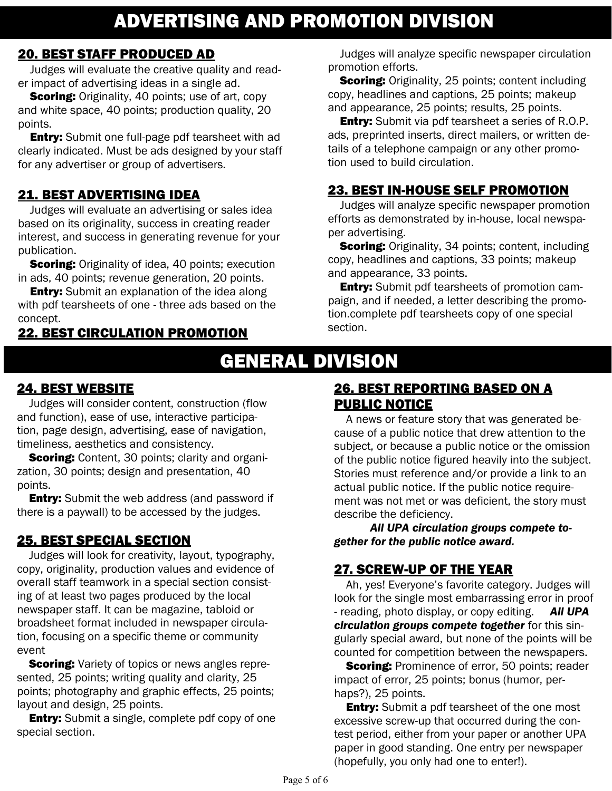## ADVERTISING AND PROMOTION DIVISION

#### 20. BEST STAFF PRODUCED AD

Judges will evaluate the creative quality and reader impact of advertising ideas in a single ad.

**Scoring:** Originality, 40 points; use of art, copy and white space, 40 points; production quality, 20 points.

**Entry:** Submit one full-page pdf tearsheet with ad clearly indicated. Must be ads designed by your staff for any advertiser or group of advertisers.

## 21. BEST ADVERTISING IDEA

Judges will evaluate an advertising or sales idea based on its originality, success in creating reader interest, and success in generating revenue for your publication.

**Scoring:** Originality of idea, 40 points; execution in ads, 40 points; revenue generation, 20 points.

**Entry:** Submit an explanation of the idea along with pdf tearsheets of one - three ads based on the concept.

## 22. BEST CIRCULATION PROMOTION

Judges will analyze specific newspaper circulation promotion efforts.

**Scoring:** Originality, 25 points; content including copy, headlines and captions, 25 points; makeup and appearance, 25 points; results, 25 points.

**Entry:** Submit via pdf tearsheet a series of R.O.P. ads, preprinted inserts, direct mailers, or written details of a telephone campaign or any other promotion used to build circulation.

## 23. BEST IN-HOUSE SELF PROMOTION

Judges will analyze specific newspaper promotion efforts as demonstrated by in-house, local newspaper advertising.

**Scoring:** Originality, 34 points; content, including copy, headlines and captions, 33 points; makeup and appearance, 33 points.

**Entry:** Submit pdf tearsheets of promotion campaign, and if needed, a letter describing the promotion.complete pdf tearsheets copy of one special section.

## GENERAL DIVISION

## 24. BEST WEBSITE

Judges will consider content, construction (flow and function), ease of use, interactive participation, page design, advertising, ease of navigation, timeliness, aesthetics and consistency.

**Scoring:** Content, 30 points; clarity and organization, 30 points; design and presentation, 40 points.

**Entry:** Submit the web address (and password if there is a paywall) to be accessed by the judges.

## 25. BEST SPECIAL SECTION

Judges will look for creativity, layout, typography, copy, originality, production values and evidence of overall staff teamwork in a special section consisting of at least two pages produced by the local newspaper staff. It can be magazine, tabloid or broadsheet format included in newspaper circulation, focusing on a specific theme or community event

**Scoring:** Variety of topics or news angles represented, 25 points; writing quality and clarity, 25 points; photography and graphic effects, 25 points; layout and design, 25 points.

**Entry:** Submit a single, complete pdf copy of one special section.

### 26. BEST REPORTING BASED ON A PUBLIC NOTICE

A news or feature story that was generated because of a public notice that drew attention to the subject, or because a public notice or the omission of the public notice figured heavily into the subject. Stories must reference and/or provide a link to an actual public notice. If the public notice requirement was not met or was deficient, the story must describe the deficiency.

*All UPA circulation groups compete together for the public notice award.*

## 27. SCREW-UP OF THE YEAR

Ah, yes! Everyone's favorite category. Judges will look for the single most embarrassing error in proof - reading, photo display, or copy editing. *All UPA circulation groups compete together* for this singularly special award, but none of the points will be counted for competition between the newspapers.

**Scoring:** Prominence of error, 50 points; reader impact of error, 25 points; bonus (humor, perhaps?), 25 points.

**Entry:** Submit a pdf tearsheet of the one most excessive screw-up that occurred during the contest period, either from your paper or another UPA paper in good standing. One entry per newspaper (hopefully, you only had one to enter!).